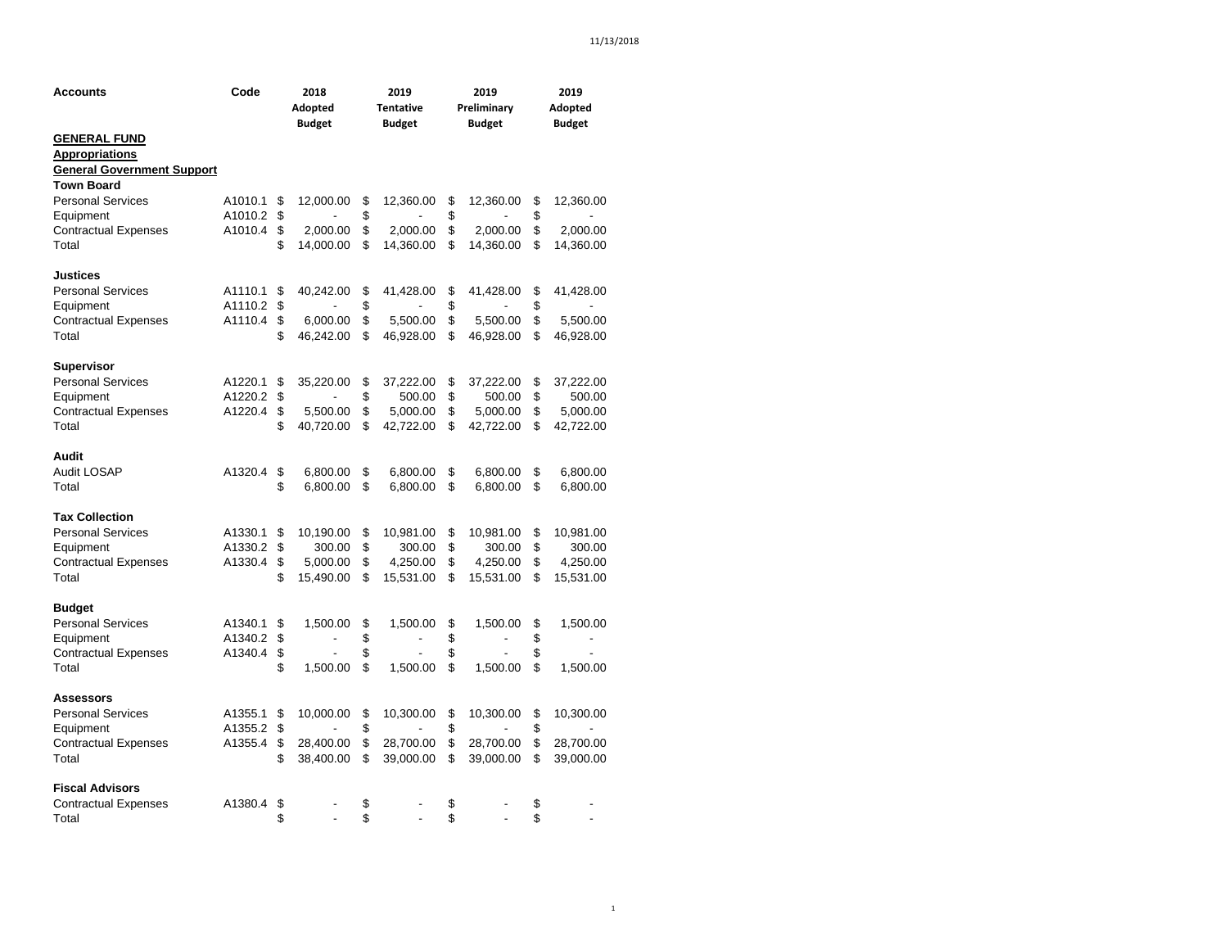| Accounts                          | Code    | 2018 |                          | 2019                       | 2019                         | 2019                     |  |  |
|-----------------------------------|---------|------|--------------------------|----------------------------|------------------------------|--------------------------|--|--|
|                                   |         |      | Adopted<br><b>Budget</b> | <b>Tentative</b><br>Budget | Preliminary<br><b>Budget</b> | Adopted<br><b>Budget</b> |  |  |
| <b>GENERAL FUND</b>               |         |      |                          |                            |                              |                          |  |  |
| <b>Appropriations</b>             |         |      |                          |                            |                              |                          |  |  |
| <b>General Government Support</b> |         |      |                          |                            |                              |                          |  |  |
| <b>Town Board</b>                 |         |      |                          |                            |                              |                          |  |  |
| <b>Personal Services</b>          | A1010.1 | \$   | 12,000.00                | \$<br>12,360.00            | \$<br>12,360.00              | \$<br>12,360.00          |  |  |
| Equipment                         | A1010.2 | \$   |                          | \$                         | \$                           | \$                       |  |  |
| <b>Contractual Expenses</b>       | A1010.4 | \$   | 2,000.00                 | \$<br>2,000.00             | \$<br>2,000.00               | \$<br>2,000.00           |  |  |
| Total                             |         | \$   | 14,000.00                | \$<br>14,360.00            | \$<br>14,360.00              | \$<br>14,360.00          |  |  |
| <b>Justices</b>                   |         |      |                          |                            |                              |                          |  |  |
| <b>Personal Services</b>          | A1110.1 | \$   | 40,242.00                | \$<br>41,428.00            | \$<br>41,428.00              | \$<br>41,428.00          |  |  |
| Equipment                         | A1110.2 | \$   |                          | \$                         | \$                           | \$                       |  |  |
| <b>Contractual Expenses</b>       | A1110.4 | \$   | 6,000.00                 | \$<br>5,500.00             | \$<br>5,500.00               | \$<br>5,500.00           |  |  |
| Total                             |         | \$   | 46,242.00                | \$<br>46,928.00            | \$<br>46,928.00              | \$<br>46,928.00          |  |  |
| Supervisor                        |         |      |                          |                            |                              |                          |  |  |
| <b>Personal Services</b>          | A1220.1 | \$   | 35,220.00                | \$<br>37,222.00            | \$<br>37,222.00              | \$<br>37,222.00          |  |  |
| Equipment                         | A1220.2 | \$   |                          | \$<br>500.00               | \$<br>500.00                 | \$<br>500.00             |  |  |
| <b>Contractual Expenses</b>       | A1220.4 | \$   | 5,500.00                 | \$<br>5,000.00             | \$<br>5,000.00               | \$<br>5,000.00           |  |  |
| Total                             |         | \$   | 40,720.00                | \$<br>42,722.00            | \$<br>42,722.00              | \$<br>42,722.00          |  |  |
| Audit                             |         |      |                          |                            |                              |                          |  |  |
| Audit LOSAP                       | A1320.4 | \$   | 6,800.00                 | \$<br>6,800.00             | \$<br>6,800.00               | \$<br>6,800.00           |  |  |
| Total                             |         | \$   | 6,800.00                 | \$<br>6,800.00             | \$<br>6,800.00               | \$<br>6,800.00           |  |  |
| <b>Tax Collection</b>             |         |      |                          |                            |                              |                          |  |  |
| <b>Personal Services</b>          | A1330.1 | \$   | 10,190.00                | \$<br>10,981.00            | \$<br>10,981.00              | \$<br>10,981.00          |  |  |
| Equipment                         | A1330.2 | \$   | 300.00                   | \$<br>300.00               | \$<br>300.00                 | \$<br>300.00             |  |  |
| <b>Contractual Expenses</b>       | A1330.4 | \$   | 5,000.00                 | \$<br>4,250.00             | \$<br>4,250.00               | \$<br>4,250.00           |  |  |
| Total                             |         | \$   | 15,490.00                | \$<br>15,531.00            | \$<br>15,531.00              | \$<br>15,531.00          |  |  |
| <b>Budget</b>                     |         |      |                          |                            |                              |                          |  |  |
| <b>Personal Services</b>          | A1340.1 | \$   | 1,500.00                 | \$<br>1,500.00             | \$<br>1,500.00               | \$<br>1,500.00           |  |  |
| Equipment                         | A1340.2 | \$   |                          | \$                         | \$<br>-                      | \$                       |  |  |
| <b>Contractual Expenses</b>       | A1340.4 | \$   |                          | \$                         | \$                           | \$                       |  |  |
| Total                             |         | \$   | 1,500.00                 | \$<br>1,500.00             | \$<br>1,500.00               | \$<br>1,500.00           |  |  |
| Assessors                         |         |      |                          |                            |                              |                          |  |  |
| <b>Personal Services</b>          | A1355.1 | \$   | 10,000.00                | \$<br>10,300.00            | \$<br>10,300.00              | \$<br>10,300.00          |  |  |
| Equipment                         | A1355.2 | \$   |                          | \$                         | \$                           | \$                       |  |  |
| <b>Contractual Expenses</b>       | A1355.4 | \$   | 28,400.00                | \$<br>28,700.00            | \$<br>28,700.00              | \$<br>28,700.00          |  |  |
| Total                             |         | \$   | 38,400.00                | \$<br>39,000.00            | \$<br>39,000.00              | \$<br>39,000.00          |  |  |
| <b>Fiscal Advisors</b>            |         |      |                          |                            |                              |                          |  |  |
| <b>Contractual Expenses</b>       | A1380.4 | \$   |                          | \$                         | \$                           | \$                       |  |  |
| Total                             |         | \$   |                          | \$                         | \$                           | \$                       |  |  |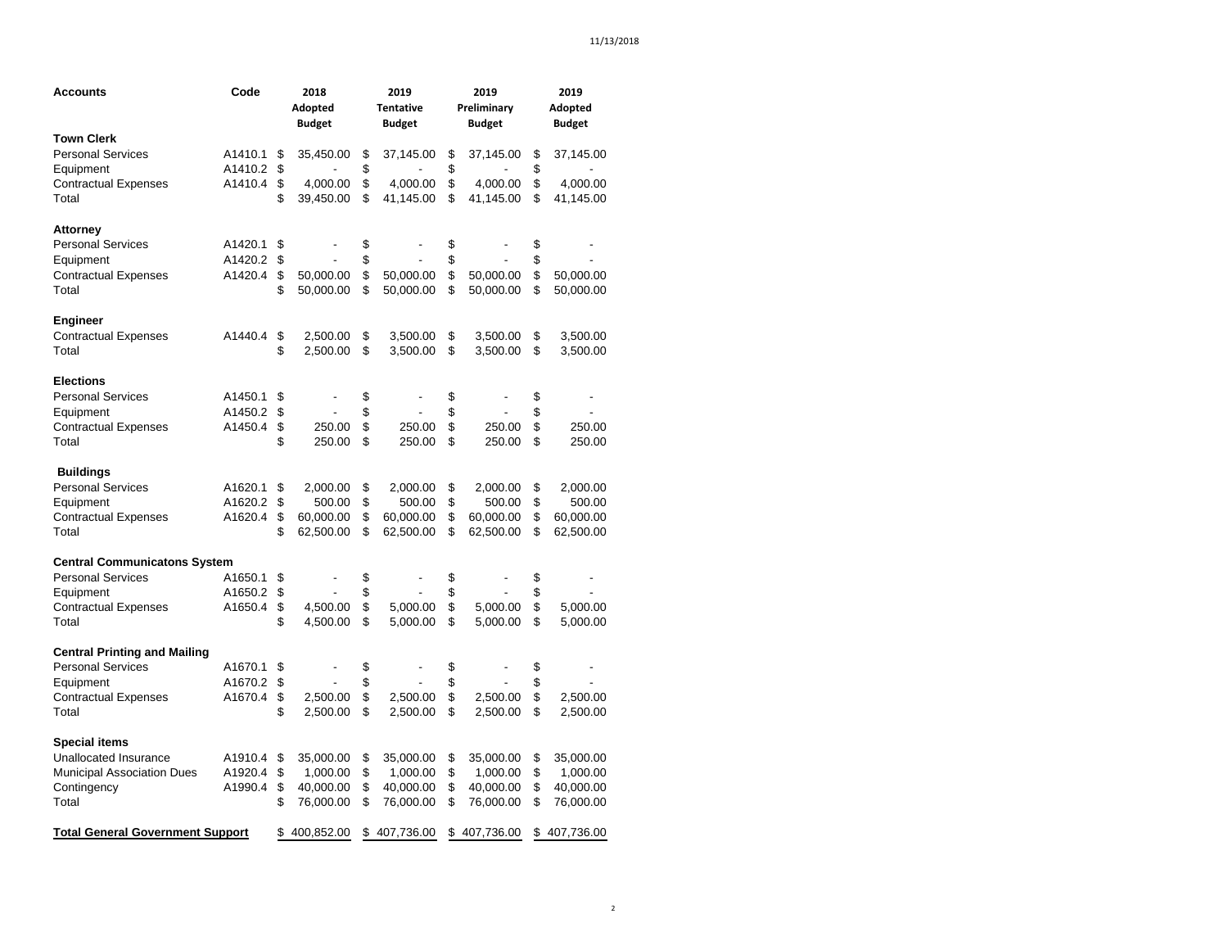| Accounts                                | Code    |          | 2018<br>Adopted<br><b>Budget</b> |          | 2019<br><b>Tentative</b><br><b>Budget</b> |          | 2019<br>Preliminary<br><b>Budget</b> |          | 2019<br>Adopted<br><b>Budget</b> |
|-----------------------------------------|---------|----------|----------------------------------|----------|-------------------------------------------|----------|--------------------------------------|----------|----------------------------------|
| <b>Town Clerk</b>                       |         |          |                                  |          |                                           |          |                                      |          |                                  |
| Personal Services                       | A1410.1 | \$       | 35,450.00                        | \$       | 37,145.00                                 | \$       | 37,145.00                            | \$       | 37,145.00                        |
| Equipment                               | A1410.2 | \$       |                                  | \$       |                                           | \$       |                                      | \$       |                                  |
| Contractual Expenses                    | A1410.4 | \$       | 4,000.00                         | \$       | 4,000.00                                  | \$       | 4,000.00                             | \$       | 4,000.00                         |
| Total                                   |         | \$       | 39,450.00                        | \$       | 41,145.00                                 | \$       | 41,145.00                            | \$       | 41,145.00                        |
| Attorney                                |         |          |                                  |          |                                           |          |                                      |          |                                  |
| <b>Personal Services</b>                | A1420.1 | \$       |                                  | \$       |                                           | \$       |                                      | \$       |                                  |
| Equipment                               | A1420.2 | \$       |                                  | \$       |                                           | \$       |                                      | \$       |                                  |
| Contractual Expenses                    | A1420.4 | \$       | 50,000.00                        | \$       | 50,000.00                                 | \$       | 50,000.00                            | \$       | 50,000.00                        |
| Total                                   |         | \$       | 50,000.00                        | \$       | 50,000.00                                 | \$       | 50,000.00                            | \$       | 50,000.00                        |
| Engineer                                |         |          |                                  |          |                                           |          |                                      |          |                                  |
| Contractual Expenses                    | A1440.4 | \$       | 2,500.00                         | \$       | 3,500.00                                  | \$       | 3,500.00                             | \$       | 3,500.00                         |
| Total                                   |         | \$       | 2,500.00                         | \$       | 3,500.00                                  | \$       | 3,500.00                             | \$       | 3,500.00                         |
| Elections                               |         |          |                                  |          |                                           |          |                                      |          |                                  |
| Personal Services                       | A1450.1 | \$       |                                  | \$       |                                           | \$       |                                      | \$       |                                  |
| Equipment                               | A1450.2 | \$       |                                  | \$       |                                           | \$       |                                      | \$       |                                  |
| Contractual Expenses                    | A1450.4 | \$       | 250.00                           | \$       | 250.00                                    | \$       | 250.00                               | \$       | 250.00                           |
| Total                                   |         | \$       | 250.00                           | \$       | 250.00                                    | \$       | 250.00                               | \$       | 250.00                           |
| <b>Buildings</b>                        |         |          |                                  |          |                                           |          |                                      |          |                                  |
| <b>Personal Services</b>                | A1620.1 | \$       | 2,000.00                         | \$       | 2,000.00                                  | \$       | 2,000.00                             | \$       | 2,000.00                         |
| Equipment                               | A1620.2 | \$       | 500.00                           | \$       | 500.00                                    | \$       | 500.00                               | \$       | 500.00                           |
| <b>Contractual Expenses</b>             | A1620.4 | \$       | 60,000.00                        | \$       | 60,000.00                                 | \$       | 60,000.00                            | \$       | 60,000.00                        |
| Total                                   |         | \$       | 62,500.00                        | \$       | 62,500.00                                 | \$       | 62,500.00                            | \$       | 62,500.00                        |
| Central Communicatons System            |         |          |                                  |          |                                           |          |                                      |          |                                  |
| <b>Personal Services</b>                | A1650.1 | \$       |                                  | \$       |                                           | \$       |                                      | \$       |                                  |
| Equipment                               | A1650.2 | \$       |                                  | \$       |                                           | \$       |                                      | \$       |                                  |
| <b>Contractual Expenses</b>             | A1650.4 | \$       | 4,500.00                         | \$       | 5,000.00                                  | \$       | 5,000.00                             | \$       | 5,000.00                         |
| Total                                   |         | \$       | 4,500.00                         | \$       | 5,000.00                                  | \$       | 5,000.00                             | \$       | 5,000.00                         |
| <b>Central Printing and Mailing</b>     |         |          |                                  |          |                                           |          |                                      |          |                                  |
| <b>Personal Services</b>                | A1670.1 | \$       |                                  | \$       |                                           | \$       |                                      | \$       |                                  |
| Equipment                               | A1670.2 | \$       |                                  | \$       |                                           | \$       |                                      | \$       |                                  |
| <b>Contractual Expenses</b><br>Total    | A1670.4 | \$<br>\$ | 2,500.00<br>2,500.00             | \$<br>\$ | 2,500.00<br>2,500.00                      | \$<br>\$ | 2,500.00<br>2,500.00                 | \$<br>\$ | 2,500.00<br>2,500.00             |
| Special items                           |         |          |                                  |          |                                           |          |                                      |          |                                  |
| <b>Unallocated Insurance</b>            | A1910.4 | \$       | 35,000.00                        | \$       | 35,000.00                                 | \$       | 35,000.00                            | \$       | 35,000.00                        |
| Municipal Association Dues              | A1920.4 | \$       | 1,000.00                         | \$       | 1,000.00                                  | \$       | 1,000.00                             | \$       | 1,000.00                         |
| Contingency                             | A1990.4 | \$       | 40,000.00                        | \$       | 40,000.00                                 | \$       | 40,000.00                            | \$       | 40,000.00                        |
| Total                                   |         | \$       | 76,000.00                        | \$       | 76,000.00                                 | \$       | 76,000.00                            | \$       | 76,000.00                        |
| <b>Total General Government Support</b> |         |          | \$400,852.00                     |          | \$407,736.00                              |          | \$407,736.00                         |          | \$407,736.00                     |
|                                         |         |          |                                  |          |                                           |          |                                      |          |                                  |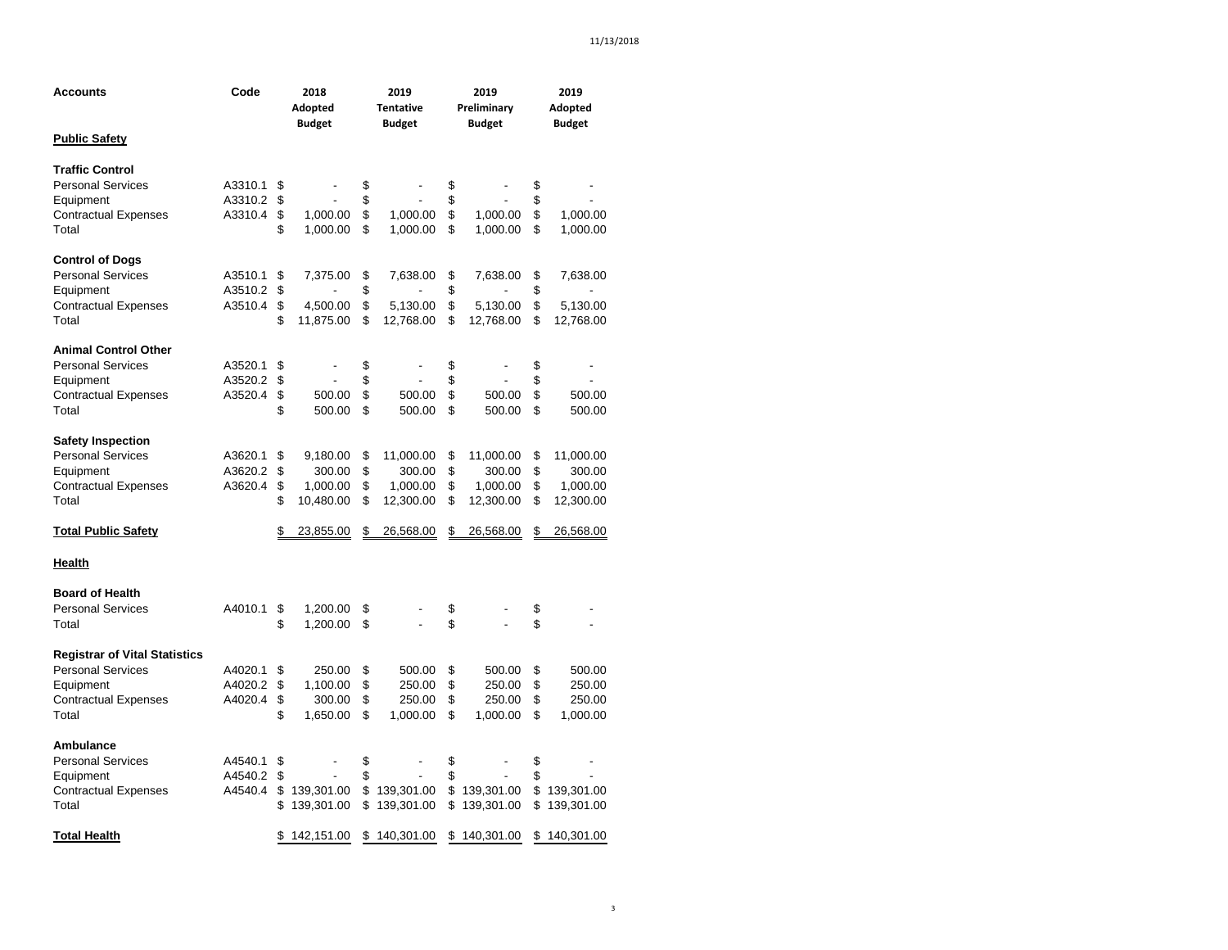| Accounts                             | Code    | 2018          |            | 2019 |                  |             | 2019          |    | 2019          |  |  |
|--------------------------------------|---------|---------------|------------|------|------------------|-------------|---------------|----|---------------|--|--|
|                                      |         |               | Adopted    |      | <b>Tentative</b> | Preliminary |               |    | Adopted       |  |  |
|                                      |         | <b>Budget</b> |            |      | <b>Budget</b>    |             | <b>Budget</b> |    | <b>Budget</b> |  |  |
| <b>Public Safety</b>                 |         |               |            |      |                  |             |               |    |               |  |  |
| <b>Traffic Control</b>               |         |               |            |      |                  |             |               |    |               |  |  |
| <b>Personal Services</b>             | A3310.1 | \$            |            | \$   |                  | \$          |               | \$ |               |  |  |
| Equipment                            | A3310.2 | \$            |            | \$   |                  | \$          |               | \$ |               |  |  |
| <b>Contractual Expenses</b>          | A3310.4 | \$            | 1,000.00   | \$   | 1,000.00         | \$          | 1,000.00      | \$ | 1,000.00      |  |  |
| Total                                |         | \$            | 1,000.00   | \$   | 1,000.00         | \$          | 1,000.00      | \$ | 1,000.00      |  |  |
| <b>Control of Dogs</b>               |         |               |            |      |                  |             |               |    |               |  |  |
| <b>Personal Services</b>             | A3510.1 | \$            | 7,375.00   | \$   | 7,638.00         | \$          | 7,638.00      | \$ | 7,638.00      |  |  |
| Equipment                            | A3510.2 | \$            |            | \$   |                  | \$          |               | \$ |               |  |  |
| <b>Contractual Expenses</b>          | A3510.4 | \$            | 4,500.00   | \$   | 5,130.00         | \$          | 5,130.00      | \$ | 5,130.00      |  |  |
| Total                                |         | \$            | 11,875.00  | \$   | 12,768.00        | \$          | 12,768.00     | \$ | 12,768.00     |  |  |
| <b>Animal Control Other</b>          |         |               |            |      |                  |             |               |    |               |  |  |
| <b>Personal Services</b>             | A3520.1 | \$            |            | \$   |                  | \$          |               | \$ |               |  |  |
| Equipment                            | A3520.2 | \$            |            | \$   |                  | \$          |               | \$ |               |  |  |
| <b>Contractual Expenses</b>          | A3520.4 | \$            | 500.00     | \$   | 500.00           | \$          | 500.00        | \$ | 500.00        |  |  |
| Total                                |         | \$            | 500.00     | \$   | 500.00           | \$          | 500.00        | \$ | 500.00        |  |  |
| <b>Safety Inspection</b>             |         |               |            |      |                  |             |               |    |               |  |  |
| <b>Personal Services</b>             | A3620.1 | \$            | 9,180.00   | \$   | 11,000.00        | \$          | 11,000.00     | \$ | 11,000.00     |  |  |
| Equipment                            | A3620.2 | \$            | 300.00     | \$   | 300.00           | \$          | 300.00        | \$ | 300.00        |  |  |
| <b>Contractual Expenses</b>          | A3620.4 | \$            | 1,000.00   | \$   | 1,000.00         | \$          | 1,000.00      | \$ | 1,000.00      |  |  |
| Total                                |         | \$            | 10,480.00  | \$   | 12,300.00        | \$          | 12,300.00     | \$ | 12,300.00     |  |  |
| <b>Total Public Safety</b>           |         | \$            | 23,855.00  | \$   | 26,568.00        | \$          | 26,568.00     | \$ | 26,568.00     |  |  |
| <b>Health</b>                        |         |               |            |      |                  |             |               |    |               |  |  |
| <b>Board of Health</b>               |         |               |            |      |                  |             |               |    |               |  |  |
| <b>Personal Services</b>             | A4010.1 | \$            | 1,200.00   | \$   |                  | \$          |               | \$ |               |  |  |
| Total                                |         | \$            | 1,200.00   | \$   |                  | \$          |               | \$ |               |  |  |
| <b>Registrar of Vital Statistics</b> |         |               |            |      |                  |             |               |    |               |  |  |
| <b>Personal Services</b>             | A4020.1 | \$            | 250.00     | \$   | 500.00           | \$          | 500.00        | \$ | 500.00        |  |  |
| Equipment                            | A4020.2 | \$            | 1,100.00   | \$   | 250.00           | \$          | 250.00        | \$ | 250.00        |  |  |
| <b>Contractual Expenses</b>          | A4020.4 | \$            | 300.00     | \$   | 250.00           | \$          | 250.00        | \$ | 250.00        |  |  |
| Total                                |         | \$            | 1,650.00   | \$   | 1,000.00         | \$          | 1,000.00      | \$ | 1,000.00      |  |  |
| Ambulance                            |         |               |            |      |                  |             |               |    |               |  |  |
| <b>Personal Services</b>             | A4540.1 | \$            |            | \$   |                  | \$          |               | \$ |               |  |  |
| Equipment                            | A4540.2 | \$            |            | \$   |                  | \$          |               | \$ |               |  |  |
| <b>Contractual Expenses</b>          | A4540.4 | \$            | 139,301.00 | \$   | 139,301.00       | \$          | 139,301.00    | \$ | 139,301.00    |  |  |
| Total                                |         | \$            | 139,301.00 | \$   | 139,301.00       | \$          | 139,301.00    | \$ | 139,301.00    |  |  |
| Total Health                         |         | \$            | 142,151.00 |      | \$140,301.00     | \$          | 140,301.00    | \$ | 140,301.00    |  |  |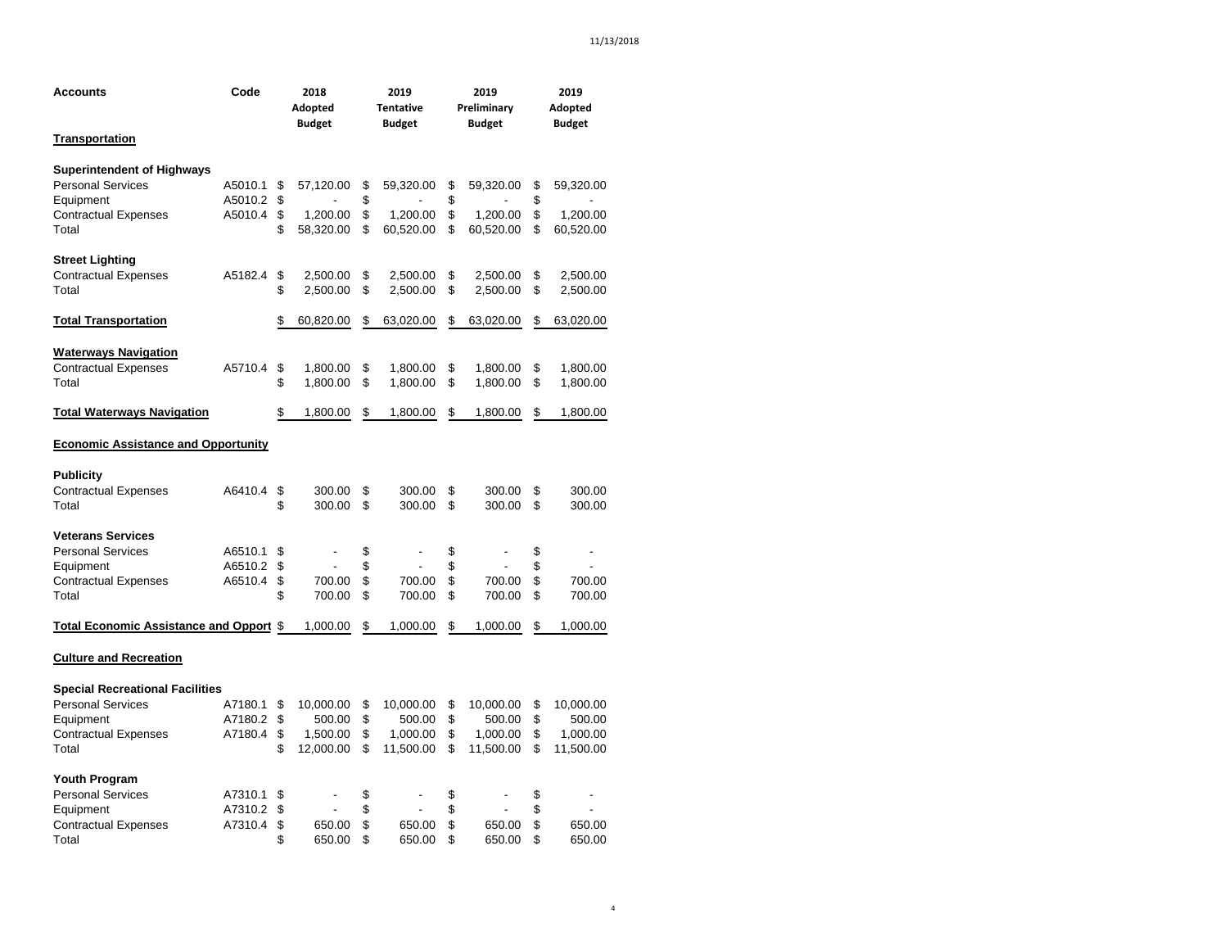| Accounts                                       | Code    |    | 2018<br>Adopted<br><b>Budget</b> |    | 2019<br><b>Tentative</b><br><b>Budget</b> |    | 2019<br>Preliminary<br><b>Budget</b> |    | 2019<br>Adopted<br><b>Budget</b> |  |  |
|------------------------------------------------|---------|----|----------------------------------|----|-------------------------------------------|----|--------------------------------------|----|----------------------------------|--|--|
| <u>Transportation</u>                          |         |    |                                  |    |                                           |    |                                      |    |                                  |  |  |
| <b>Superintendent of Highways</b>              |         |    |                                  |    |                                           |    |                                      |    |                                  |  |  |
| <b>Personal Services</b>                       | A5010.1 | \$ | 57,120.00                        | \$ | 59,320.00                                 | \$ | 59,320.00                            | \$ | 59,320.00                        |  |  |
| Equipment                                      | A5010.2 | \$ |                                  | \$ |                                           | \$ |                                      | \$ |                                  |  |  |
| <b>Contractual Expenses</b>                    | A5010.4 | \$ | 1,200.00                         | \$ | 1,200.00                                  | \$ | 1,200.00                             | \$ | 1,200.00                         |  |  |
| Total                                          |         | \$ | 58,320.00                        | \$ | 60,520.00                                 | \$ | 60,520.00                            | \$ | 60,520.00                        |  |  |
| <b>Street Lighting</b>                         |         |    |                                  |    |                                           |    |                                      |    |                                  |  |  |
| <b>Contractual Expenses</b>                    | A5182.4 | \$ | 2,500.00                         | \$ | 2,500.00                                  | \$ | 2,500.00                             | \$ | 2,500.00                         |  |  |
| Total                                          |         | \$ | 2,500.00                         | \$ | 2,500.00                                  | \$ | 2,500.00                             | \$ | 2,500.00                         |  |  |
| <b>Total Transportation</b>                    |         | \$ | 60,820.00                        | \$ | 63,020.00                                 | \$ | 63,020.00                            | \$ | 63,020.00                        |  |  |
| <b>Waterways Navigation</b>                    |         |    |                                  |    |                                           |    |                                      |    |                                  |  |  |
| <b>Contractual Expenses</b>                    | A5710.4 | \$ | 1,800.00                         | \$ | 1,800.00                                  | \$ | 1,800.00                             | \$ | 1,800.00                         |  |  |
| Total                                          |         | \$ | 1,800.00                         | \$ | 1,800.00                                  | \$ | 1,800.00                             | \$ | 1,800.00                         |  |  |
| <b>Total Waterways Navigation</b>              |         | \$ | 1,800.00                         | \$ | 1,800.00                                  | \$ | 1,800.00                             | \$ | 1,800.00                         |  |  |
| <b>Economic Assistance and Opportunity</b>     |         |    |                                  |    |                                           |    |                                      |    |                                  |  |  |
| <b>Publicity</b>                               |         |    |                                  |    |                                           |    |                                      |    |                                  |  |  |
| <b>Contractual Expenses</b>                    | A6410.4 | \$ | 300.00                           | \$ | 300.00                                    | \$ | 300.00                               | \$ | 300.00                           |  |  |
| Total                                          |         | \$ | 300.00                           | \$ | 300.00                                    | \$ | 300.00                               | \$ | 300.00                           |  |  |
| <b>Veterans Services</b>                       |         |    |                                  |    |                                           |    |                                      |    |                                  |  |  |
| <b>Personal Services</b>                       | A6510.1 | \$ |                                  | \$ |                                           | \$ |                                      | \$ |                                  |  |  |
| Equipment                                      | A6510.2 | \$ |                                  | \$ |                                           | \$ |                                      | \$ |                                  |  |  |
| <b>Contractual Expenses</b>                    | A6510.4 | \$ | 700.00                           | \$ | 700.00                                    | \$ | 700.00                               | \$ | 700.00                           |  |  |
| Total                                          |         | \$ | 700.00                           | \$ | 700.00                                    | \$ | 700.00                               | \$ | 700.00                           |  |  |
| <b>Total Economic Assistance and Opport \$</b> |         |    | 1,000.00                         | \$ | 1,000.00                                  | \$ | 1,000.00                             | \$ | 1,000.00                         |  |  |
| <b>Culture and Recreation</b>                  |         |    |                                  |    |                                           |    |                                      |    |                                  |  |  |
| <b>Special Recreational Facilities</b>         |         |    |                                  |    |                                           |    |                                      |    |                                  |  |  |
| <b>Personal Services</b>                       | A7180.1 | \$ | 10,000.00                        | \$ | 10,000.00                                 | \$ | 10,000.00                            | \$ | 10,000.00                        |  |  |
| Equipment                                      | A7180.2 | \$ | 500.00                           | \$ | 500.00                                    | \$ | 500.00                               | \$ | 500.00                           |  |  |
| <b>Contractual Expenses</b>                    | A7180.4 | \$ | 1,500.00                         | \$ | 1,000.00                                  | \$ | 1,000.00                             | \$ | 1,000.00                         |  |  |
| Total                                          |         | \$ | 12,000.00                        | \$ | 11,500.00                                 | \$ | 11,500.00                            | \$ | 11,500.00                        |  |  |
| <b>Youth Program</b>                           |         |    |                                  |    |                                           |    |                                      |    |                                  |  |  |
| <b>Personal Services</b>                       | A7310.1 | \$ |                                  | \$ |                                           | \$ |                                      | \$ |                                  |  |  |
| Equipment                                      | A7310.2 | \$ |                                  | \$ |                                           | \$ |                                      | \$ |                                  |  |  |
| <b>Contractual Expenses</b>                    | A7310.4 | \$ | 650.00                           | \$ | 650.00                                    | \$ | 650.00                               | \$ | 650.00                           |  |  |
| Total                                          |         | \$ | 650.00                           | \$ | 650.00                                    | \$ | 650.00                               | \$ | 650.00                           |  |  |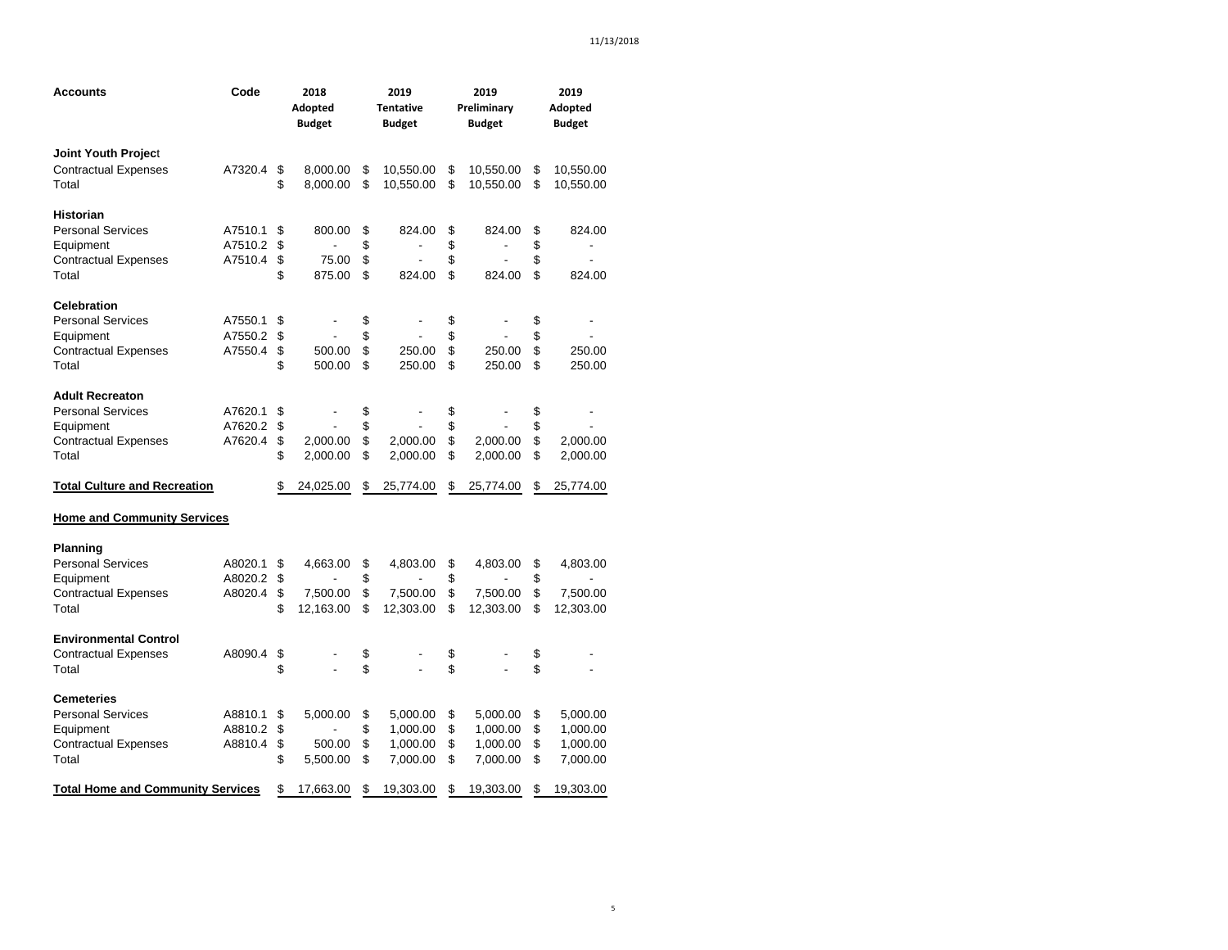| Accounts                                 | Code    | 2018<br>Adopted<br><b>Budget</b> |                | 2019<br><b>Tentative</b><br><b>Budget</b> | 2019<br>Preliminary<br><b>Budget</b> | 2019<br>Adopted<br><b>Budget</b> |                          |  |
|------------------------------------------|---------|----------------------------------|----------------|-------------------------------------------|--------------------------------------|----------------------------------|--------------------------|--|
| Joint Youth Project                      |         |                                  |                |                                           |                                      |                                  |                          |  |
| <b>Contractual Expenses</b>              | A7320.4 | \$                               | 8,000.00       | \$<br>10,550.00                           | \$<br>10,550.00                      | \$                               | 10,550.00                |  |
| Total                                    |         | \$                               | 8,000.00       | \$<br>10,550.00                           | \$<br>10,550.00                      | \$                               | 10,550.00                |  |
| Historian                                |         |                                  |                |                                           |                                      |                                  |                          |  |
| <b>Personal Services</b>                 | A7510.1 | \$                               | 800.00         | \$<br>824.00                              | \$<br>824.00                         | \$                               | 824.00                   |  |
| Equipment                                | A7510.2 | \$                               | $\overline{a}$ | \$<br>$\blacksquare$                      | \$<br>$\blacksquare$                 | \$                               | $\overline{\phantom{a}}$ |  |
| <b>Contractual Expenses</b>              | A7510.4 | \$                               | 75.00          | \$                                        | \$                                   | \$                               |                          |  |
| Total                                    |         | \$                               | 875.00         | \$<br>824.00                              | \$<br>824.00                         | \$                               | 824.00                   |  |
| <b>Celebration</b>                       |         |                                  |                |                                           |                                      |                                  |                          |  |
| <b>Personal Services</b>                 | A7550.1 | \$                               |                | \$                                        | \$                                   | \$                               |                          |  |
| Equipment                                | A7550.2 | \$                               |                | \$                                        | \$                                   | \$                               |                          |  |
| <b>Contractual Expenses</b>              | A7550.4 | \$                               | 500.00         | \$<br>250.00                              | \$<br>250.00                         | \$                               | 250.00                   |  |
| Total                                    |         | \$                               | 500.00         | \$<br>250.00                              | \$<br>250.00                         | \$                               | 250.00                   |  |
| <b>Adult Recreaton</b>                   |         |                                  |                |                                           |                                      |                                  |                          |  |
| <b>Personal Services</b>                 | A7620.1 | \$                               |                | \$                                        | \$                                   | \$                               |                          |  |
| Equipment                                | A7620.2 | \$                               |                | \$                                        | \$                                   | \$                               |                          |  |
| <b>Contractual Expenses</b>              | A7620.4 | \$                               | 2,000.00       | \$<br>2,000.00                            | \$<br>2,000.00                       | \$                               | 2,000.00                 |  |
| Total                                    |         | \$                               | 2,000.00       | \$<br>2,000.00                            | \$<br>2,000.00                       | \$                               | 2,000.00                 |  |
| <b>Total Culture and Recreation</b>      |         | \$                               | 24,025.00      | \$<br>25,774.00                           | \$<br>25,774.00                      | \$                               | 25,774.00                |  |
| <b>Home and Community Services</b>       |         |                                  |                |                                           |                                      |                                  |                          |  |
| <b>Planning</b>                          |         |                                  |                |                                           |                                      |                                  |                          |  |
| <b>Personal Services</b>                 | A8020.1 | \$                               | 4,663.00       | \$<br>4,803.00                            | \$<br>4,803.00                       | \$                               | 4,803.00                 |  |
| Equipment                                | A8020.2 | \$                               |                | \$                                        | \$                                   | \$                               |                          |  |
| <b>Contractual Expenses</b>              | A8020.4 | \$                               | 7,500.00       | \$<br>7,500.00                            | \$<br>7,500.00                       | \$                               | 7,500.00                 |  |
| Total                                    |         | \$                               | 12,163.00      | \$<br>12,303.00                           | \$<br>12,303.00                      | \$                               | 12,303.00                |  |
| <b>Environmental Control</b>             |         |                                  |                |                                           |                                      |                                  |                          |  |
| <b>Contractual Expenses</b>              | A8090.4 | \$                               |                | \$                                        | \$                                   | \$                               |                          |  |
| Total                                    |         | \$                               |                | \$                                        | \$                                   | \$                               |                          |  |
| <b>Cemeteries</b>                        |         |                                  |                |                                           |                                      |                                  |                          |  |
| <b>Personal Services</b>                 | A8810.1 | \$                               | 5,000.00       | \$<br>5,000.00                            | \$<br>5,000.00                       | \$                               | 5,000.00                 |  |
| Equipment                                | A8810.2 | \$                               |                | \$<br>1,000.00                            | \$<br>1,000.00                       | \$                               | 1,000.00                 |  |
| <b>Contractual Expenses</b>              | A8810.4 | \$                               | 500.00         | \$<br>1,000.00                            | \$<br>1,000.00                       | \$                               | 1,000.00                 |  |
| Total                                    |         | \$                               | 5,500.00       | \$<br>7,000.00                            | \$<br>7,000.00                       | \$                               | 7,000.00                 |  |
| <b>Total Home and Community Services</b> |         | \$                               | 17,663.00      | \$<br>19,303.00                           | \$<br>19,303.00                      | \$                               | 19,303.00                |  |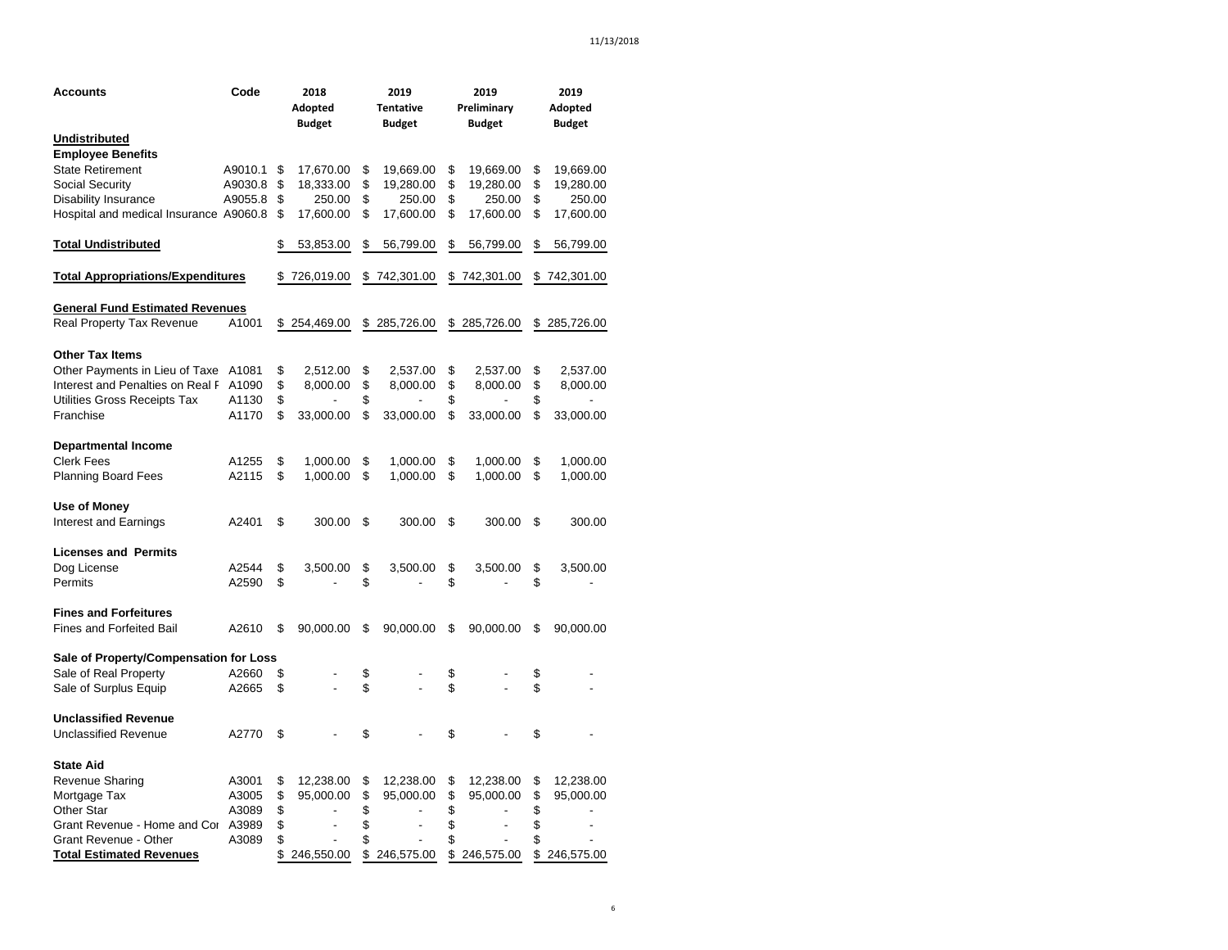| Accounts                                        | Code    | 2018             | 2019                           | 2019             | 2019             |
|-------------------------------------------------|---------|------------------|--------------------------------|------------------|------------------|
|                                                 |         | Adopted          | Tentative                      | Preliminary      | Adopted          |
|                                                 |         | <b>Budget</b>    | <b>Budget</b>                  | <b>Budget</b>    | <b>Budget</b>    |
| <b>Undistributed</b>                            |         |                  |                                |                  |                  |
| <b>Employee Benefits</b>                        |         |                  |                                |                  |                  |
| <b>State Retirement</b>                         | A9010.1 | \$<br>17,670.00  | \$<br>19,669.00                | \$<br>19,669.00  | \$<br>19,669.00  |
| Social Security                                 | A9030.8 | \$<br>18,333.00  | \$<br>19,280.00                | \$<br>19,280.00  | \$<br>19,280.00  |
| <b>Disability Insurance</b>                     | A9055.8 | \$<br>250.00     | \$<br>250.00                   | \$<br>250.00     | \$<br>250.00     |
| Hospital and medical Insurance A9060.8          |         | \$<br>17,600.00  | \$<br>17,600.00                | \$<br>17,600.00  | \$<br>17,600.00  |
| <b>Total Undistributed</b>                      |         | \$<br>53,853.00  | \$<br>56,799.00                | \$<br>56,799.00  | \$<br>56,799.00  |
| <u><b>Total Appropriations/Expenditures</b></u> |         | \$726,019.00     | \$<br>742,301.00               | \$742,301.00     | \$742,301.00     |
|                                                 |         |                  |                                |                  |                  |
| <b>General Fund Estimated Revenues</b>          |         |                  |                                |                  |                  |
| Real Property Tax Revenue                       | A1001   | \$254,469.00     | \$<br>285,726.00               | \$<br>285,726.00 | \$<br>285,726.00 |
| <b>Other Tax Items</b>                          |         |                  |                                |                  |                  |
| Other Payments in Lieu of Taxe                  | A1081   | \$<br>2,512.00   | \$<br>2,537.00                 | \$<br>2,537.00   | \$<br>2,537.00   |
| Interest and Penalties on Real F                | A1090   | \$<br>8,000.00   | \$<br>8,000.00                 | \$<br>8,000.00   | \$<br>8,000.00   |
| Utilities Gross Receipts Tax                    | A1130   | \$               | \$<br>$\overline{\phantom{a}}$ | \$               | \$               |
| Franchise                                       | A1170   | \$<br>33,000.00  | \$<br>33,000.00                | \$<br>33,000.00  | \$<br>33,000.00  |
|                                                 |         |                  |                                |                  |                  |
| <b>Departmental Income</b>                      |         |                  |                                |                  |                  |
| <b>Clerk Fees</b>                               | A1255   | \$<br>1,000.00   | \$<br>1,000.00                 | \$<br>1,000.00   | \$<br>1,000.00   |
| <b>Planning Board Fees</b>                      | A2115   | \$<br>1,000.00   | \$<br>1,000.00                 | \$<br>1,000.00   | \$<br>1,000.00   |
| Use of Money                                    |         |                  |                                |                  |                  |
| Interest and Earnings                           | A2401   | \$<br>300.00     | \$<br>300.00                   | \$<br>300.00     | \$<br>300.00     |
| <b>Licenses and Permits</b>                     |         |                  |                                |                  |                  |
| Dog License                                     | A2544   | \$<br>3,500.00   | \$<br>3,500.00                 | \$<br>3,500.00   | \$<br>3,500.00   |
| Permits                                         | A2590   | \$               | \$                             | \$               | \$               |
| <b>Fines and Forfeitures</b>                    |         |                  |                                |                  |                  |
| <b>Fines and Forfeited Bail</b>                 | A2610   | \$<br>90,000.00  | \$<br>90,000.00                | \$<br>90,000.00  | \$<br>90,000.00  |
|                                                 |         |                  |                                |                  |                  |
| Sale of Property/Compensation for Loss          |         |                  |                                |                  |                  |
| Sale of Real Property                           | A2660   | \$               | \$                             | \$               | \$               |
| Sale of Surplus Equip                           | A2665   | \$               | \$                             | \$               | \$               |
| <b>Unclassified Revenue</b>                     |         |                  |                                |                  |                  |
| <b>Unclassified Revenue</b>                     | A2770   | \$               | \$                             | \$               | \$               |
|                                                 |         |                  |                                |                  |                  |
| <b>State Aid</b>                                |         |                  |                                |                  |                  |
| Revenue Sharing                                 | A3001   | \$<br>12,238.00  | \$<br>12,238.00                | \$<br>12,238.00  | \$<br>12,238.00  |
| Mortgage Tax                                    | A3005   | \$<br>95,000.00  | \$<br>95,000.00                | \$<br>95,000.00  | \$<br>95,000.00  |
| <b>Other Star</b>                               | A3089   | \$               | \$                             | \$               | \$               |
| Grant Revenue - Home and Cor A3989              |         | \$<br>Ĭ.         | \$<br>$\overline{a}$           | \$               | \$               |
| Grant Revenue - Other                           | A3089   | \$               | \$                             | \$               | \$               |
| <b>Total Estimated Revenues</b>                 |         | \$<br>246,550.00 | \$<br>246,575.00               | \$<br>246,575.00 | \$<br>246,575.00 |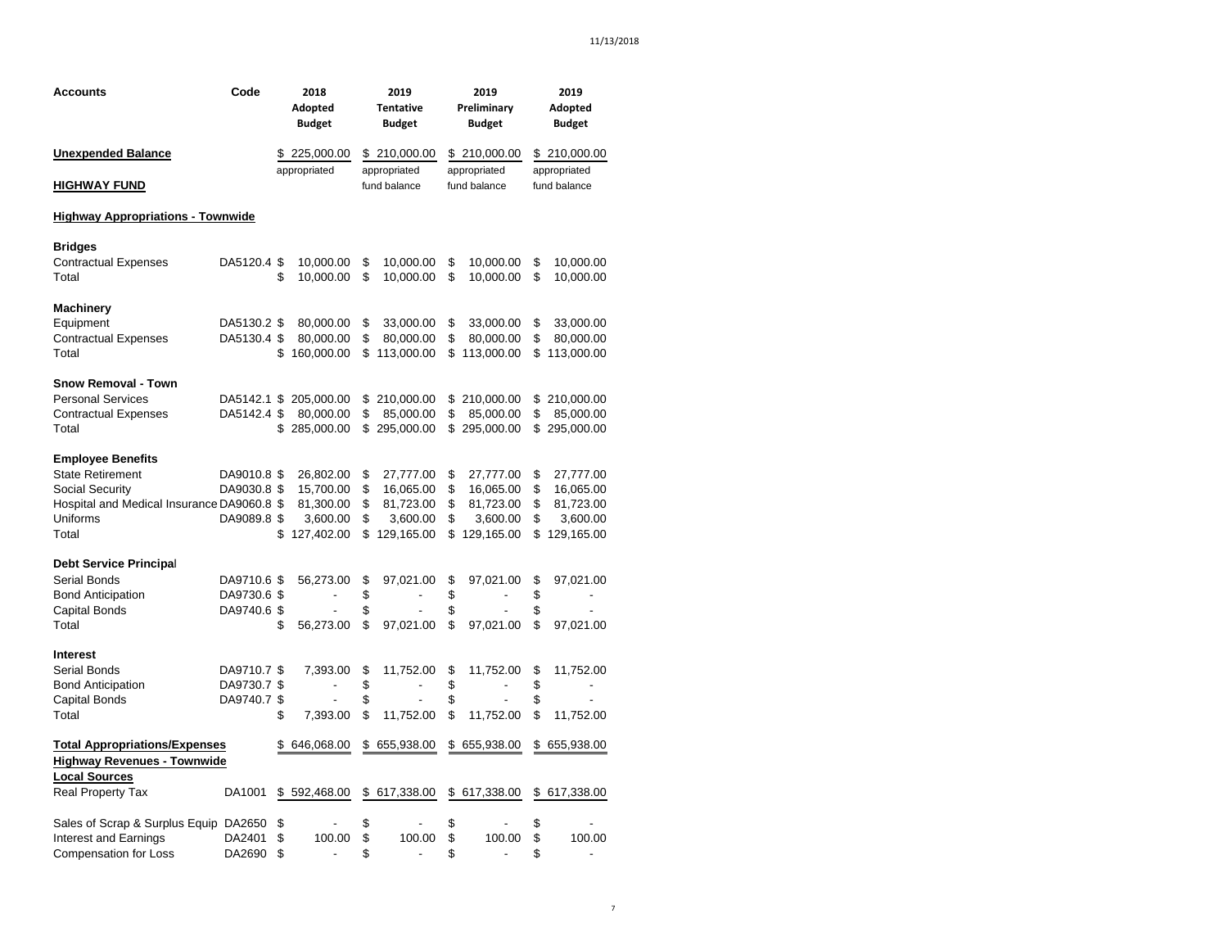| <b>Accounts</b>                            | Code        |    | 2018                     | 2019                           | 2019                 | 2019                           |
|--------------------------------------------|-------------|----|--------------------------|--------------------------------|----------------------|--------------------------------|
|                                            |             |    | Adopted                  | <b>Tentative</b>               | Preliminary          | Adopted                        |
|                                            |             |    | <b>Budget</b>            | <b>Budget</b>                  | <b>Budget</b>        | <b>Budget</b>                  |
| <b>Unexpended Balance</b>                  |             |    | \$225,000.00             | \$210,000.00                   | \$210,000.00         | \$210,000.00                   |
|                                            |             |    | appropriated             | appropriated                   | appropriated         | appropriated                   |
| <b>HIGHWAY FUND</b>                        |             |    |                          | fund balance                   | fund balance         | fund balance                   |
| <b>Highway Appropriations - Townwide</b>   |             |    |                          |                                |                      |                                |
| <b>Bridges</b>                             |             |    |                          |                                |                      |                                |
| <b>Contractual Expenses</b>                | DA5120.4 \$ |    | 10,000.00                | \$<br>10,000.00                | \$<br>10,000.00      | \$<br>10,000.00                |
| Total                                      |             | \$ | 10,000.00                | \$<br>10,000.00                | \$<br>10,000.00      | \$<br>10,000.00                |
| Machinery                                  |             |    |                          |                                |                      |                                |
| Equipment                                  | DA5130.2 \$ |    | 80,000.00                | \$<br>33,000.00                | \$<br>33,000.00      | \$<br>33,000.00                |
| <b>Contractual Expenses</b>                | DA5130.4 \$ |    | 80,000.00                | \$<br>80,000.00                | \$<br>80,000.00      | \$<br>80,000.00                |
| Total                                      |             | \$ | 160,000.00               | \$<br>113,000.00               | \$<br>113,000.00     | \$<br>113,000.00               |
|                                            |             |    |                          |                                |                      |                                |
| Snow Removal - Town                        |             |    |                          |                                |                      |                                |
| <b>Personal Services</b>                   | DA5142.1 \$ |    | 205,000.00               | \$<br>210,000.00               | \$<br>210,000.00     | \$<br>210,000.00               |
| <b>Contractual Expenses</b>                | DA5142.4 \$ |    | 80,000.00                | \$<br>85,000.00                | \$<br>85,000.00      | \$<br>85,000.00                |
| Total                                      |             | \$ | 285,000.00               | \$<br>295,000.00               | \$295,000.00         | \$<br>295,000.00               |
| <b>Employee Benefits</b>                   |             |    |                          |                                |                      |                                |
| <b>State Retirement</b>                    | DA9010.8 \$ |    | 26,802.00                | \$<br>27,777.00                | \$<br>27,777.00      | \$<br>27,777.00                |
| <b>Social Security</b>                     | DA9030.8 \$ |    | 15,700.00                | \$<br>16,065.00                | \$<br>16,065.00      | \$<br>16,065.00                |
| Hospital and Medical Insurance DA9060.8 \$ |             |    | 81,300.00                | \$<br>81,723.00                | \$<br>81,723.00      | \$<br>81,723.00                |
| Uniforms                                   | DA9089.8 \$ |    | 3,600.00                 | \$<br>3,600.00                 | \$<br>3,600.00       | \$<br>3,600.00                 |
| Total                                      |             | \$ | 127,402.00               | \$<br>129,165.00               | \$<br>129,165.00     | \$<br>129,165.00               |
| <b>Debt Service Principal</b>              |             |    |                          |                                |                      |                                |
| Serial Bonds                               | DA9710.6 \$ |    | 56,273.00                | \$<br>97,021.00                | \$<br>97,021.00      | \$<br>97,021.00                |
| <b>Bond Anticipation</b>                   | DA9730.6 \$ |    | $\overline{\phantom{a}}$ | \$                             | \$                   | \$<br>$\overline{\phantom{a}}$ |
| <b>Capital Bonds</b>                       | DA9740.6 \$ |    | ÷.                       | \$                             | \$                   | \$                             |
| Total                                      |             | \$ | 56,273.00                | \$<br>97,021.00                | \$<br>97,021.00      | \$<br>97,021.00                |
| Interest                                   |             |    |                          |                                |                      |                                |
| Serial Bonds                               | DA9710.7 \$ |    | 7,393.00                 | \$<br>11,752.00                | \$<br>11,752.00      | \$<br>11,752.00                |
| <b>Bond Anticipation</b>                   | DA9730.7 \$ |    | $\overline{\phantom{a}}$ | \$<br>$\overline{\phantom{a}}$ | \$<br>$\blacksquare$ | \$<br>$\overline{\phantom{a}}$ |
| Capital Bonds                              | DA9740.7 \$ |    |                          | \$                             | \$                   | \$                             |
| Total                                      |             | \$ | 7,393.00                 | \$<br>11,752.00                | \$<br>11,752.00      | \$<br>11,752.00                |
| <b>Total Appropriations/Expenses</b>       |             | S  | 646,068.00               | \$<br>655,938.00               | \$<br>655,938.00     | \$<br>655,938.00               |
| <b>Highway Revenues - Townwide</b>         |             |    |                          |                                |                      |                                |
| <b>Local Sources</b>                       |             |    |                          |                                |                      |                                |
| <b>Real Property Tax</b>                   | DA1001      |    | \$592,468.00             | \$<br>617,338.00               | \$<br>617,338.00     | \$<br>617,338.00               |
| Sales of Scrap & Surplus Equip DA2650      |             | \$ |                          | \$                             | \$                   | \$                             |
| Interest and Earnings                      | DA2401      | \$ | 100.00                   | \$<br>100.00                   | \$<br>100.00         | \$<br>100.00                   |
| <b>Compensation for Loss</b>               | DA2690      | \$ | $\blacksquare$           | \$<br>$\blacksquare$           | \$<br>$\blacksquare$ | \$<br>$\overline{\phantom{a}}$ |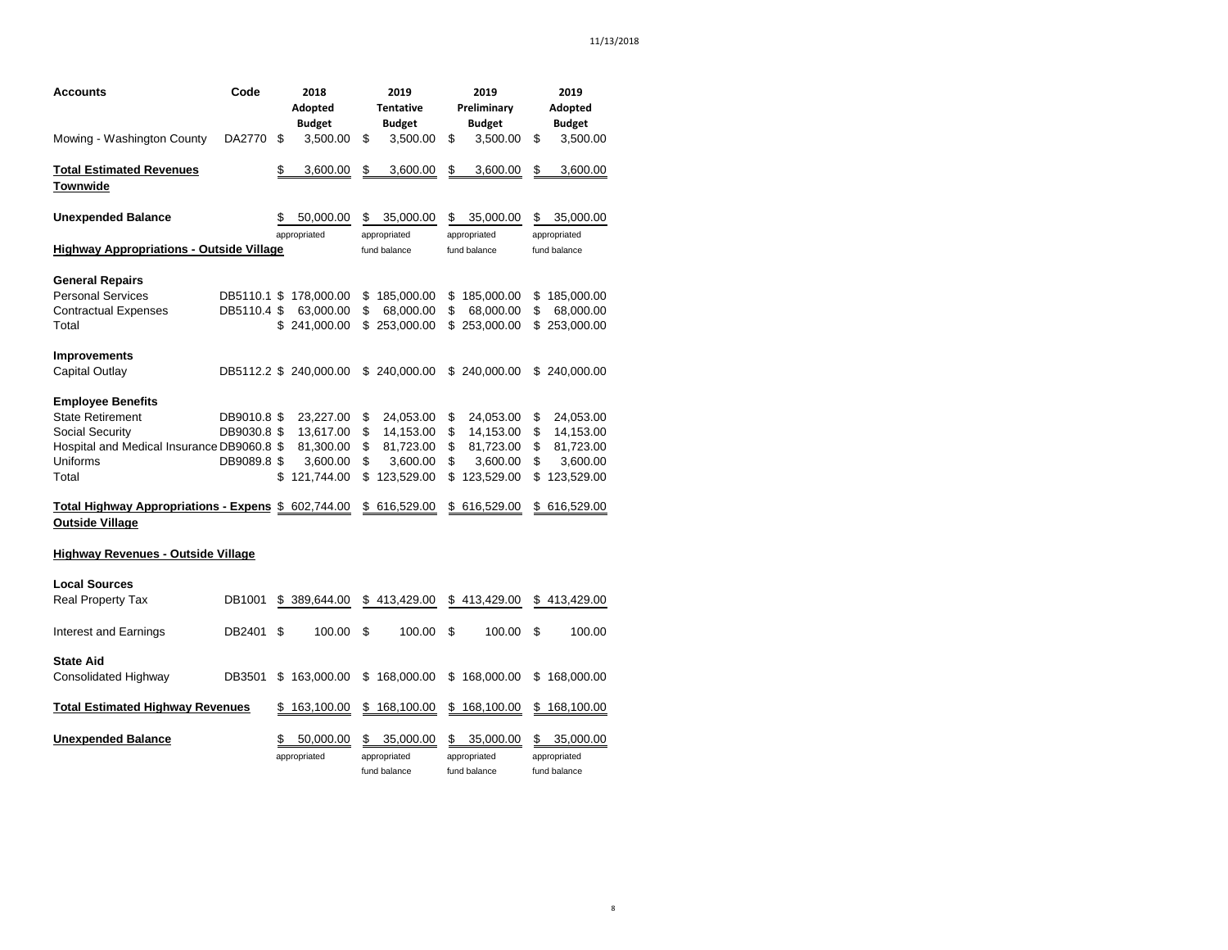| Accounts                                                                      | Code        | 2018<br>Adopted<br><b>Budget</b> |    | 2019<br><b>Tentative</b><br><b>Budget</b> |    | 2019<br>Preliminary<br><b>Budget</b>      | 2019<br>Adopted<br><b>Budget</b>                |
|-------------------------------------------------------------------------------|-------------|----------------------------------|----|-------------------------------------------|----|-------------------------------------------|-------------------------------------------------|
| Mowing - Washington County                                                    | DA2770      | \$<br>3,500.00                   | \$ | 3,500.00                                  | \$ | 3,500.00                                  | \$<br>3,500.00                                  |
| <b>Total Estimated Revenues</b>                                               |             | \$<br>3,600.00                   | \$ | 3,600.00                                  | \$ | 3,600.00                                  | \$<br>3,600.00                                  |
| Townwide                                                                      |             |                                  |    |                                           |    |                                           |                                                 |
| <b>Unexpended Balance</b>                                                     |             | \$<br>50,000.00                  | \$ | 35,000.00                                 | S  | 35,000.00                                 | \$<br>35,000.00                                 |
| <b>Highway Appropriations - Outside Village</b>                               |             | appropriated                     |    | appropriated<br>fund balance              |    | appropriated<br>fund balance              | appropriated<br>fund balance                    |
|                                                                               |             |                                  |    |                                           |    |                                           |                                                 |
| <b>General Repairs</b>                                                        |             |                                  |    |                                           |    |                                           |                                                 |
| <b>Personal Services</b>                                                      | DB5110.1 \$ | 178,000.00                       | S  | 185,000.00                                | \$ | 185,000.00                                | \$<br>185,000.00                                |
| <b>Contractual Expenses</b>                                                   | DB5110.4 \$ | 63,000.00                        | \$ | 68,000.00                                 | \$ | 68,000.00                                 | \$<br>68,000.00                                 |
| Total                                                                         |             | \$<br>241,000.00                 | \$ | 253,000.00                                |    | \$253,000.00                              | \$<br>253,000.00                                |
| <b>Improvements</b>                                                           |             |                                  |    |                                           |    |                                           |                                                 |
| Capital Outlay                                                                |             | DB5112.2 \$ 240,000.00           | \$ | 240,000.00                                | \$ | 240,000.00                                | \$<br>240,000.00                                |
| <b>Employee Benefits</b>                                                      |             |                                  |    |                                           |    |                                           |                                                 |
| <b>State Retirement</b>                                                       | DB9010.8 \$ | 23,227.00                        | \$ | 24,053.00                                 | \$ | 24,053.00                                 | \$<br>24,053.00                                 |
| Social Security                                                               | DB9030.8 \$ | 13,617.00                        | \$ | 14,153.00                                 | \$ | 14,153.00                                 | \$<br>14,153.00                                 |
| Hospital and Medical Insurance DB9060.8 \$                                    |             | 81,300.00                        | \$ | 81,723.00                                 | \$ | 81,723.00                                 | \$<br>81,723.00                                 |
| Uniforms                                                                      | DB9089.8 \$ | 3,600.00                         | \$ | 3,600.00                                  | \$ | 3,600.00                                  | \$<br>3,600.00                                  |
| Total                                                                         |             | \$<br>121,744.00                 | \$ | 123,529.00                                | \$ | 123,529.00                                | \$<br>123,529.00                                |
| Total Highway Appropriations - Expens \$ 602,744.00<br><b>Outside Village</b> |             |                                  | \$ | 616,529.00                                |    | \$ 616,529.00                             | \$616,529.00                                    |
| <b>Highway Revenues - Outside Village</b>                                     |             |                                  |    |                                           |    |                                           |                                                 |
| <b>Local Sources</b>                                                          |             |                                  |    |                                           |    |                                           |                                                 |
| <b>Real Property Tax</b>                                                      | DB1001      | \$<br>389,644.00                 |    | \$413,429.00                              |    | \$413,429.00                              | \$<br>413,429.00                                |
| Interest and Earnings                                                         | DB2401      | \$<br>100.00                     | \$ | 100.00                                    | \$ | 100.00                                    | \$<br>100.00                                    |
| <b>State Aid</b>                                                              |             |                                  |    |                                           |    |                                           |                                                 |
| Consolidated Highway                                                          | DB3501      | \$<br>163,000.00                 | \$ | 168,000.00                                | \$ | 168,000.00                                | \$<br>168,000.00                                |
| <b>Total Estimated Highway Revenues</b>                                       |             | \$<br>163,100.00                 | \$ | 168,100.00                                | S. | 168,100.00                                | \$<br>168,100.00                                |
| <b>Unexpended Balance</b>                                                     |             | \$<br>50,000.00<br>appropriated  | \$ | 35,000.00<br>appropriated<br>fund balance | \$ | 35,000.00<br>appropriated<br>fund balance | \$<br>35,000.00<br>appropriated<br>fund balance |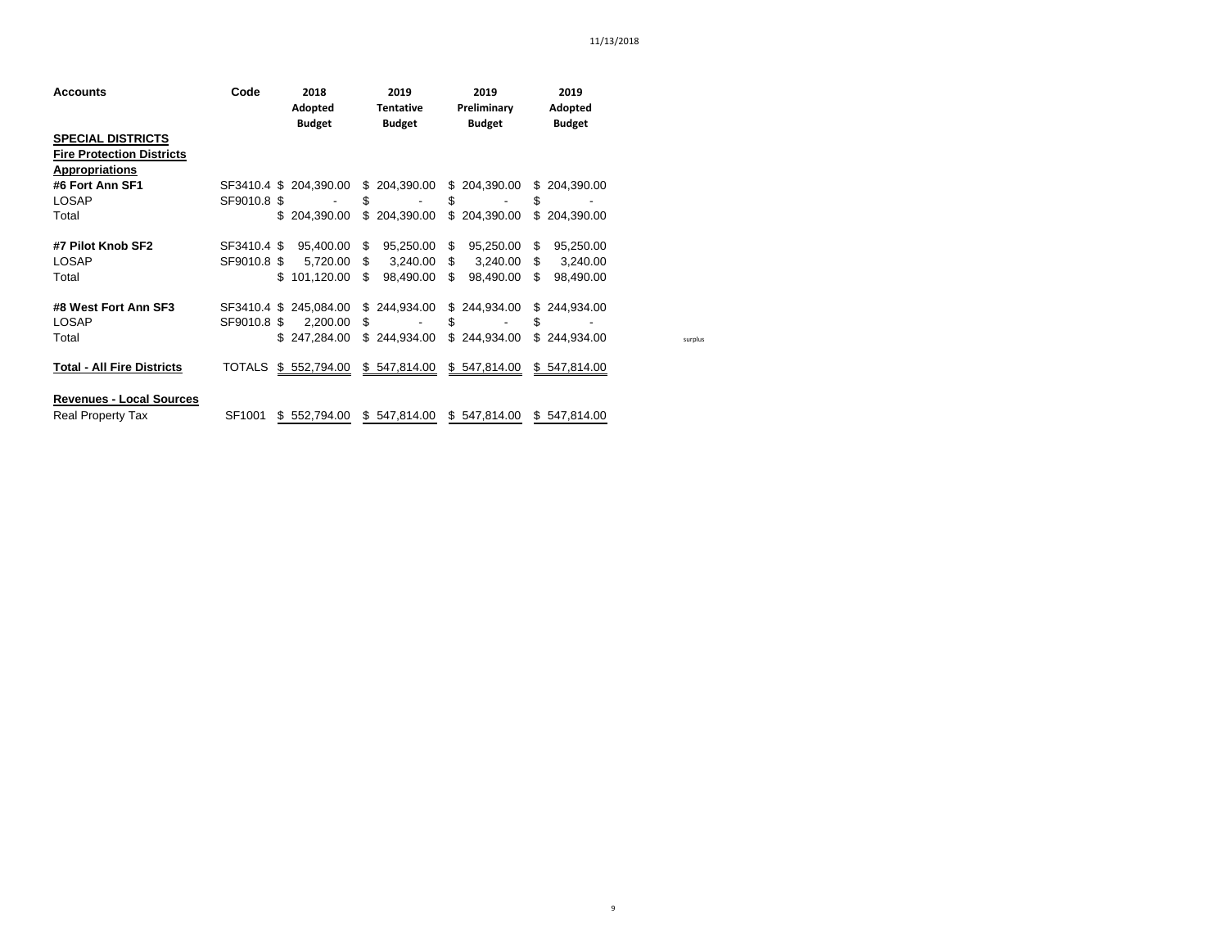| <b>Accounts</b>                                                                       | Code         | 2018<br>Adopted<br><b>Budget</b> | 2019<br><b>Tentative</b><br><b>Budget</b> | 2019<br>Preliminary<br><b>Budget</b> | 2019<br>Adopted<br><b>Budget</b> |         |
|---------------------------------------------------------------------------------------|--------------|----------------------------------|-------------------------------------------|--------------------------------------|----------------------------------|---------|
| <b>SPECIAL DISTRICTS</b><br><b>Fire Protection Districts</b><br><b>Appropriations</b> |              |                                  |                                           |                                      |                                  |         |
| #6 Fort Ann SF1                                                                       |              | SF3410.4 \$ 204.390.00           | \$204,390.00                              | \$204,390.00                         | \$204.390.00                     |         |
| LOSAP                                                                                 | SF9010.8 \$  |                                  | \$                                        | \$                                   | \$                               |         |
| Total                                                                                 |              | \$204.390.00                     | \$204,390.00                              | \$204,390.00                         | \$204,390.00                     |         |
| #7 Pilot Knob SF2                                                                     | SF3410.4 \$  | 95,400.00                        | 95,250.00<br>-SS                          | \$<br>95,250.00                      | 95,250.00<br>-SG                 |         |
| <b>LOSAP</b>                                                                          | SF9010.8 \$  | 5,720.00                         | -S<br>3,240.00                            | $\frac{1}{2}$<br>3,240.00            | \$<br>3,240.00                   |         |
| Total                                                                                 | \$.          | 101.120.00                       | S<br>98,490.00                            | \$<br>98,490.00                      | \$<br>98,490.00                  |         |
| #8 West Fort Ann SF3                                                                  |              | SF3410.4 \$ 245,084.00           | \$244,934.00                              | \$244,934.00                         | \$244.934.00                     |         |
| <b>LOSAP</b>                                                                          | SF9010.8 \$  | 2.200.00                         | \$.<br>$\overline{\phantom{a}}$           | S                                    | S                                |         |
| Total                                                                                 |              | \$247.284.00                     | \$244.934.00                              | \$244,934.00                         | \$244.934.00                     | surplus |
| <b>Total - All Fire Districts</b>                                                     | TOTALS       | \$552,794.00                     | \$547,814.00                              | \$547,814.00                         | \$547,814.00                     |         |
| <b>Revenues - Local Sources</b>                                                       |              |                                  |                                           |                                      |                                  |         |
| <b>Real Property Tax</b>                                                              | SF1001<br>\$ | 552,794.00                       | \$547,814.00                              | \$547,814.00                         | \$547,814.00                     |         |